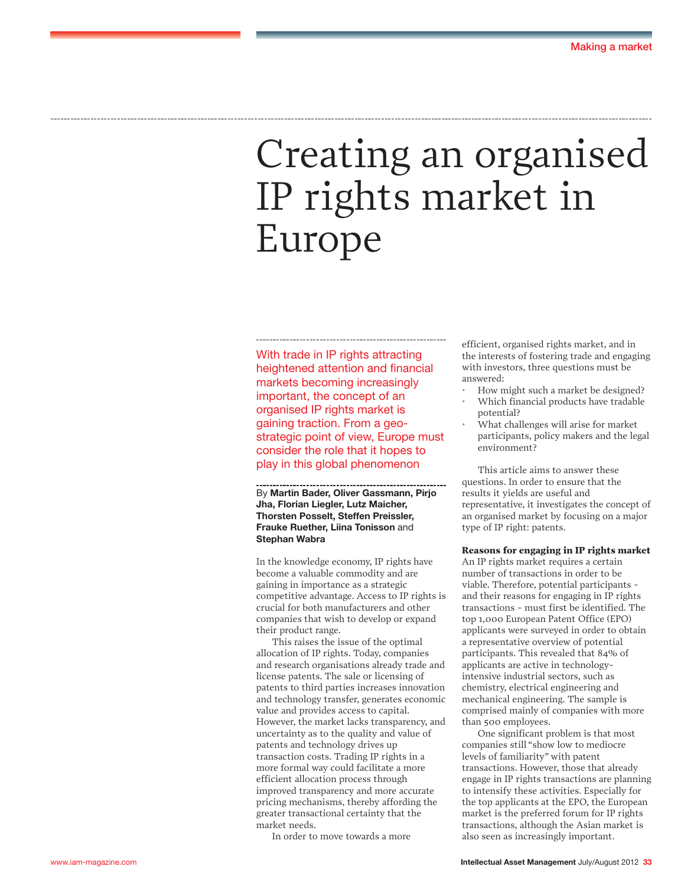# Creating an organised IP rights market in Europe

With trade in IP rights attracting heightened attention and financial markets becoming increasingly important, the concept of an organised IP rights market is gaining traction. From a geostrategic point of view, Europe must consider the role that it hopes to play in this global phenomenon

By **Martin Bader, Oliver Gassmann, Pirjo Jha, Florian Liegler, Lutz Maicher, Thorsten Posselt, Steffen Preissler, Frauke Ruether, Liina Tonisson** and **Stephan Wabra**

In the knowledge economy, IP rights have become a valuable commodity and are gaining in importance as a strategic competitive advantage. Access to IP rights is crucial for both manufacturers and other companies that wish to develop or expand their product range.

This raises the issue of the optimal allocation of IP rights. Today, companies and research organisations already trade and license patents. The sale or licensing of patents to third parties increases innovation and technology transfer, generates economic value and provides access to capital. However, the market lacks transparency, and uncertainty as to the quality and value of patents and technology drives up transaction costs. Trading IP rights in a more formal way could facilitate a more efficient allocation process through improved transparency and more accurate pricing mechanisms, thereby affording the greater transactional certainty that the market needs.

In order to move towards a more

efficient, organised rights market, and in the interests of fostering trade and engaging with investors, three questions must be answered:

- How might such a market be designed? • Which financial products have tradable
- potential?
- What challenges will arise for market participants, policy makers and the legal environment?

This article aims to answer these questions. In order to ensure that the results it yields are useful and representative, it investigates the concept of an organised market by focusing on a major type of IP right: patents.

#### **Reasons for engaging in IP rights market**

An IP rights market requires a certain number of transactions in order to be viable. Therefore, potential participants and their reasons for engaging in IP rights transactions - must first be identified. The top 1,000 European Patent Office (EPO) applicants were surveyed in order to obtain a representative overview of potential participants. This revealed that 84% of applicants are active in technologyintensive industrial sectors, such as chemistry, electrical engineering and mechanical engineering. The sample is comprised mainly of companies with more than 500 employees.

One significant problem is that most companies still "show low to mediocre levels of familiarity" with patent transactions. However, those that already engage in IP rights transactions are planning to intensify these activities. Especially for the top applicants at the EPO, the European market is the preferred forum for IP rights transactions, although the Asian market is also seen as increasingly important.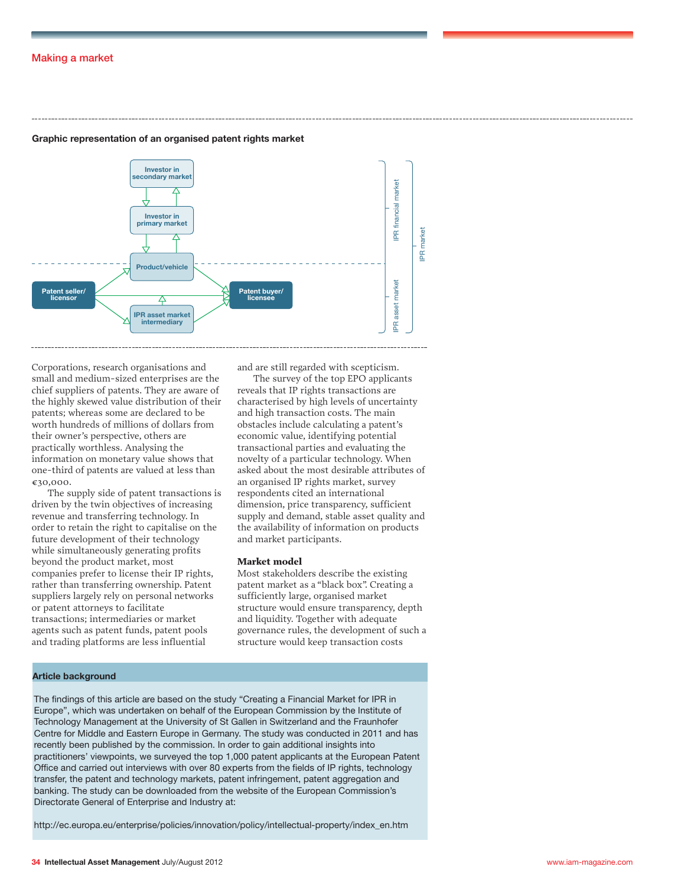# Making a market



# **Graphic representation of an organised patent rights market**

Corporations, research organisations and small and medium-sized enterprises are the chief suppliers of patents. They are aware of the highly skewed value distribution of their patents; whereas some are declared to be worth hundreds of millions of dollars from their owner's perspective, others are practically worthless. Analysing the information on monetary value shows that one-third of patents are valued at less than €30,000.

The supply side of patent transactions is driven by the twin objectives of increasing revenue and transferring technology. In order to retain the right to capitalise on the future development of their technology while simultaneously generating profits beyond the product market, most companies prefer to license their IP rights, rather than transferring ownership. Patent suppliers largely rely on personal networks or patent attorneys to facilitate transactions; intermediaries or market agents such as patent funds, patent pools and trading platforms are less influential

and are still regarded with scepticism.

The survey of the top EPO applicants reveals that IP rights transactions are characterised by high levels of uncertainty and high transaction costs. The main obstacles include calculating a patent's economic value, identifying potential transactional parties and evaluating the novelty of a particular technology. When asked about the most desirable attributes of an organised IP rights market, survey respondents cited an international dimension, price transparency, sufficient supply and demand, stable asset quality and the availability of information on products and market participants.

## **Market model**

Most stakeholders describe the existing patent market as a "black box". Creating a sufficiently large, organised market structure would ensure transparency, depth and liquidity. Together with adequate governance rules, the development of such a structure would keep transaction costs

## **Article background**

The findings of this article are based on the study "Creating a Financial Market for IPR in Europe", which was undertaken on behalf of the European Commission by the Institute of Technology Management at the University of St Gallen in Switzerland and the Fraunhofer Centre for Middle and Eastern Europe in Germany. The study was conducted in 2011 and has recently been published by the commission. In order to gain additional insights into practitioners' viewpoints, we surveyed the top 1,000 patent applicants at the European Patent Office and carried out interviews with over 80 experts from the fields of IP rights, technology transfer, the patent and technology markets, patent infringement, patent aggregation and banking. The study can be downloaded from the website of the European Commission's Directorate General of Enterprise and Industry at:

http://ec.europa.eu/enterprise/policies/innovation/policy/intellectual-property/index\_en.htm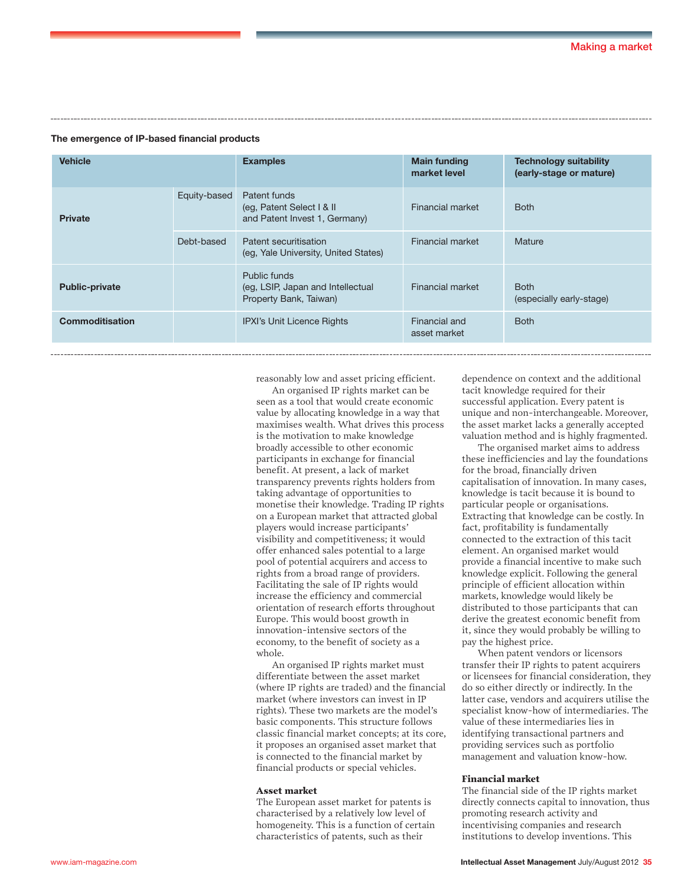#### **The emergence of IP-based financial products**

| <b>Vehicle</b>         |              | <b>Examples</b>                                                             | <b>Main funding</b><br>market level | <b>Technology suitability</b><br>(early-stage or mature) |
|------------------------|--------------|-----------------------------------------------------------------------------|-------------------------------------|----------------------------------------------------------|
| <b>Private</b>         | Equity-based | Patent funds<br>(eg, Patent Select   & II<br>and Patent Invest 1, Germany)  | Financial market                    | <b>Both</b>                                              |
|                        | Debt-based   | Patent securitisation<br>(eg. Yale University, United States)               | <b>Financial market</b>             | Mature                                                   |
| <b>Public-private</b>  |              | Public funds<br>(eg, LSIP, Japan and Intellectual<br>Property Bank, Taiwan) | Financial market                    | <b>Both</b><br>(especially early-stage)                  |
| <b>Commoditisation</b> |              | <b>IPXI's Unit Licence Rights</b>                                           | Financial and<br>asset market       | <b>Both</b>                                              |

reasonably low and asset pricing efficient.

An organised IP rights market can be seen as a tool that would create economic value by allocating knowledge in a way that maximises wealth. What drives this process is the motivation to make knowledge broadly accessible to other economic participants in exchange for financial benefit. At present, a lack of market transparency prevents rights holders from taking advantage of opportunities to monetise their knowledge. Trading IP rights on a European market that attracted global players would increase participants' visibility and competitiveness; it would offer enhanced sales potential to a large pool of potential acquirers and access to rights from a broad range of providers. Facilitating the sale of IP rights would increase the efficiency and commercial orientation of research efforts throughout Europe. This would boost growth in innovation-intensive sectors of the economy, to the benefit of society as a whole.

An organised IP rights market must differentiate between the asset market (where IP rights are traded) and the financial market (where investors can invest in IP rights). These two markets are the model's basic components. This structure follows classic financial market concepts; at its core, it proposes an organised asset market that is connected to the financial market by financial products or special vehicles.

#### **Asset market**

The European asset market for patents is characterised by a relatively low level of homogeneity. This is a function of certain characteristics of patents, such as their

dependence on context and the additional tacit knowledge required for their successful application. Every patent is unique and non-interchangeable. Moreover, the asset market lacks a generally accepted valuation method and is highly fragmented.

The organised market aims to address these inefficiencies and lay the foundations for the broad, financially driven capitalisation of innovation. In many cases, knowledge is tacit because it is bound to particular people or organisations. Extracting that knowledge can be costly. In fact, profitability is fundamentally connected to the extraction of this tacit element. An organised market would provide a financial incentive to make such knowledge explicit. Following the general principle of efficient allocation within markets, knowledge would likely be distributed to those participants that can derive the greatest economic benefit from it, since they would probably be willing to pay the highest price.

When patent vendors or licensors transfer their IP rights to patent acquirers or licensees for financial consideration, they do so either directly or indirectly. In the latter case, vendors and acquirers utilise the specialist know-how of intermediaries. The value of these intermediaries lies in identifying transactional partners and providing services such as portfolio management and valuation know-how.

#### **Financial market**

The financial side of the IP rights market directly connects capital to innovation, thus promoting research activity and incentivising companies and research institutions to develop inventions. This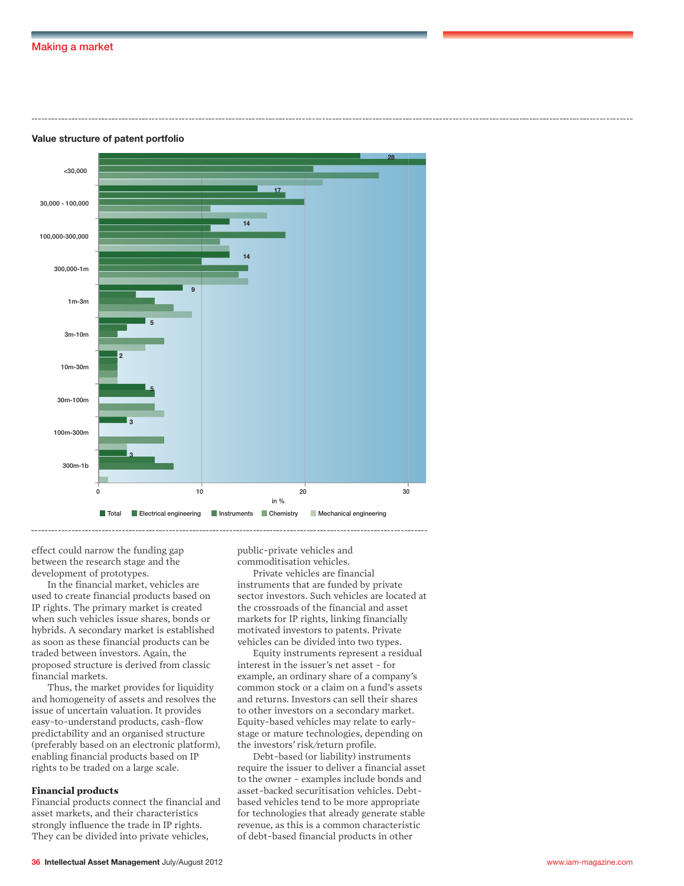#### **Value structure of patent portfolio**



effect could narrow the funding gap between the research stage and the development of prototypes.

In the financial market, vehicles are used to create financial products based on IP rights. The primary market is created when such vehicles issue shares, bonds or hybrids. A secondary market is established as soon as these financial products can be traded between investors. Again, the proposed structure is derived from classic financial markets.

Thus, the market provides for liquidity and homogeneity of assets and resolves the issue of uncertain valuation. It provides easy-to-understand products, cash-flow predictability and an organised structure (preferably based on an electronic platform), enabling financial products based on IP rights to be traded on a large scale.

#### **Financial products**

Financial products connect the financial and asset markets, and their characteristics strongly influence the trade in IP rights. They can be divided into private vehicles,

public-private vehicles and commoditisation vehicles.

Private vehicles are financial instruments that are funded by private sector investors. Such vehicles are located at the crossroads of the financial and asset markets for IP rights, linking financially motivated investors to patents. Private vehicles can be divided into two types.

Equity instruments represent a residual interest in the issuer's net asset - for example, an ordinary share of a company's common stock or a claim on a fund's assets and returns. Investors can sell their shares to other investors on a secondary market. Equity-based vehicles may relate to earlystage or mature technologies, depending on the investors' risk/return profile.

Debt-based (or liability) instruments require the issuer to deliver a financial asset to the owner - examples include bonds and asset-backed securitisation vehicles. Debtbased vehicles tend to be more appropriate for technologies that already generate stable revenue, as this is a common characteristic of debt-based financial products in other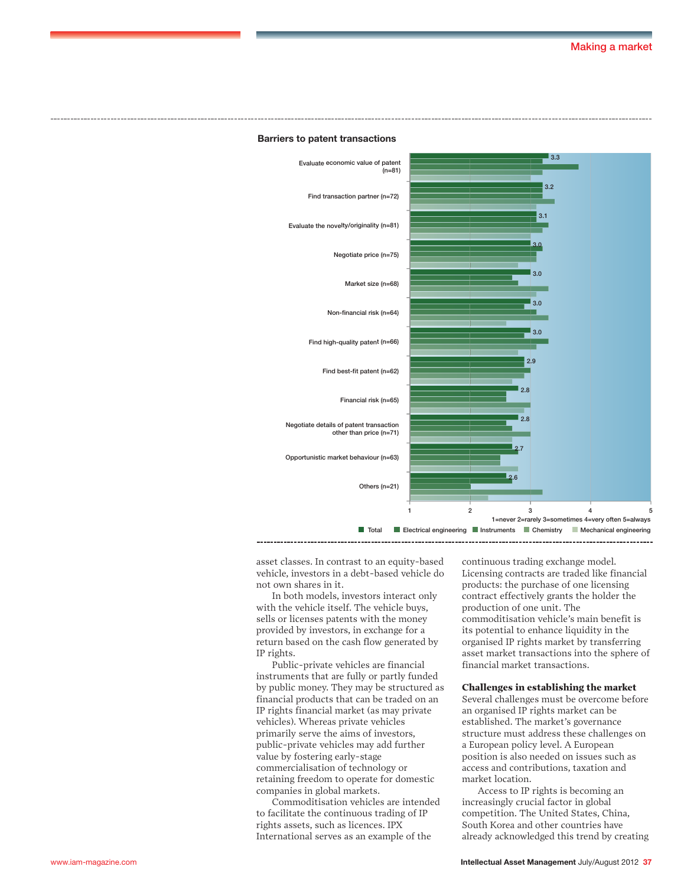

#### **Barriers to patent transactions**

asset classes. In contrast to an equity-based vehicle, investors in a debt-based vehicle do not own shares in it.

In both models, investors interact only with the vehicle itself. The vehicle buys, sells or licenses patents with the money provided by investors, in exchange for a return based on the cash flow generated by IP rights.

Public-private vehicles are financial instruments that are fully or partly funded by public money. They may be structured as financial products that can be traded on an IP rights financial market (as may private vehicles). Whereas private vehicles primarily serve the aims of investors, public-private vehicles may add further value by fostering early-stage commercialisation of technology or retaining freedom to operate for domestic companies in global markets.

Commoditisation vehicles are intended to facilitate the continuous trading of IP rights assets, such as licences. IPX International serves as an example of the

continuous trading exchange model. Licensing contracts are traded like financial products: the purchase of one licensing contract effectively grants the holder the production of one unit. The commoditisation vehicle's main benefit is its potential to enhance liquidity in the organised IP rights market by transferring asset market transactions into the sphere of financial market transactions.

#### **Challenges in establishing the market**

Several challenges must be overcome before an organised IP rights market can be established. The market's governance structure must address these challenges on a European policy level. A European position is also needed on issues such as access and contributions, taxation and market location.

Access to IP rights is becoming an increasingly crucial factor in global competition. The United States, China, South Korea and other countries have already acknowledged this trend by creating